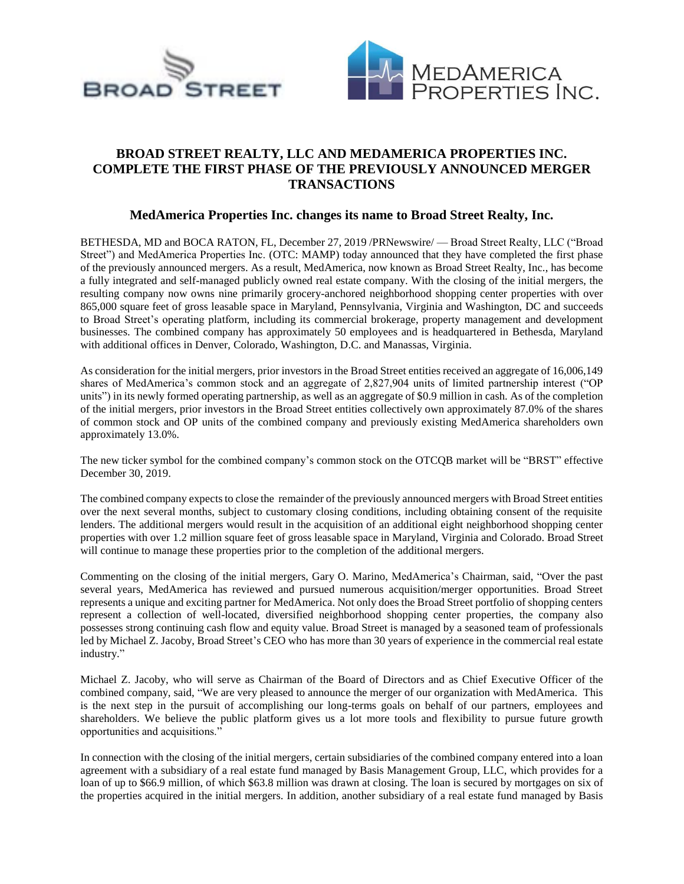



## **BROAD STREET REALTY, LLC AND MEDAMERICA PROPERTIES INC. COMPLETE THE FIRST PHASE OF THE PREVIOUSLY ANNOUNCED MERGER TRANSACTIONS**

## **MedAmerica Properties Inc. changes its name to Broad Street Realty, Inc.**

BETHESDA, MD and BOCA RATON, FL, December 27, 2019 /PRNewswire/ — Broad Street Realty, LLC ("Broad Street") and MedAmerica Properties Inc. (OTC: MAMP) today announced that they have completed the first phase of the previously announced mergers. As a result, MedAmerica, now known as Broad Street Realty, Inc., has become a fully integrated and self-managed publicly owned real estate company. With the closing of the initial mergers, the resulting company now owns nine primarily grocery-anchored neighborhood shopping center properties with over 865,000 square feet of gross leasable space in Maryland, Pennsylvania, Virginia and Washington, DC and succeeds to Broad Street's operating platform, including its commercial brokerage, property management and development businesses. The combined company has approximately 50 employees and is headquartered in Bethesda, Maryland with additional offices in Denver, Colorado, Washington, D.C. and Manassas, Virginia.

As consideration for the initial mergers, prior investors in the Broad Street entities received an aggregate of 16,006,149 shares of MedAmerica's common stock and an aggregate of 2,827,904 units of limited partnership interest ("OP units") in its newly formed operating partnership, as well as an aggregate of \$0.9 million in cash. As of the completion of the initial mergers, prior investors in the Broad Street entities collectively own approximately 87.0% of the shares of common stock and OP units of the combined company and previously existing MedAmerica shareholders own approximately 13.0%.

The new ticker symbol for the combined company's common stock on the OTCQB market will be "BRST" effective December 30, 2019.

The combined company expects to close the remainder of the previously announced mergers with Broad Street entities over the next several months, subject to customary closing conditions, including obtaining consent of the requisite lenders. The additional mergers would result in the acquisition of an additional eight neighborhood shopping center properties with over 1.2 million square feet of gross leasable space in Maryland, Virginia and Colorado. Broad Street will continue to manage these properties prior to the completion of the additional mergers.

Commenting on the closing of the initial mergers, Gary O. Marino, MedAmerica's Chairman, said, "Over the past several years, MedAmerica has reviewed and pursued numerous acquisition/merger opportunities. Broad Street represents a unique and exciting partner for MedAmerica. Not only does the Broad Street portfolio of shopping centers represent a collection of well-located, diversified neighborhood shopping center properties, the company also possesses strong continuing cash flow and equity value. Broad Street is managed by a seasoned team of professionals led by Michael Z. Jacoby, Broad Street's CEO who has more than 30 years of experience in the commercial real estate industry."

Michael Z. Jacoby, who will serve as Chairman of the Board of Directors and as Chief Executive Officer of the combined company, said, "We are very pleased to announce the merger of our organization with MedAmerica. This is the next step in the pursuit of accomplishing our long-terms goals on behalf of our partners, employees and shareholders. We believe the public platform gives us a lot more tools and flexibility to pursue future growth opportunities and acquisitions."

In connection with the closing of the initial mergers, certain subsidiaries of the combined company entered into a loan agreement with a subsidiary of a real estate fund managed by Basis Management Group, LLC, which provides for a loan of up to \$66.9 million, of which \$63.8 million was drawn at closing. The loan is secured by mortgages on six of the properties acquired in the initial mergers. In addition, another subsidiary of a real estate fund managed by Basis